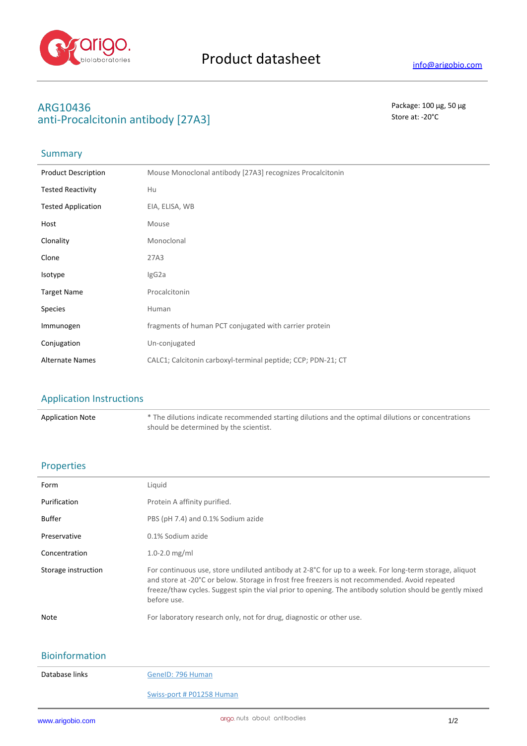

# ARG10436<br> **ARG10436** Package: 100 μg, 50 μg<br>
2011 Procalcitonin antibody [27 Δ2] anti-Procalcitonin antibody [27A3]

## **Summary**

| <b>Product Description</b> | Mouse Monoclonal antibody [27A3] recognizes Procalcitonin    |
|----------------------------|--------------------------------------------------------------|
| <b>Tested Reactivity</b>   | Hu                                                           |
| <b>Tested Application</b>  | EIA, ELISA, WB                                               |
| Host                       | Mouse                                                        |
| Clonality                  | Monoclonal                                                   |
| Clone                      | 27A3                                                         |
| Isotype                    | IgG2a                                                        |
| <b>Target Name</b>         | Procalcitonin                                                |
| Species                    | Human                                                        |
| Immunogen                  | fragments of human PCT conjugated with carrier protein       |
| Conjugation                | Un-conjugated                                                |
| <b>Alternate Names</b>     | CALC1; Calcitonin carboxyl-terminal peptide; CCP; PDN-21; CT |

### Application Instructions

Application Note \* The dilutions indicate recommended starting dilutions and the optimal dilutions or concentrations should be determined by the scientist.

### Properties

| Form                | Liquid                                                                                                                                                                                                                                                                                                                                       |
|---------------------|----------------------------------------------------------------------------------------------------------------------------------------------------------------------------------------------------------------------------------------------------------------------------------------------------------------------------------------------|
| Purification        | Protein A affinity purified.                                                                                                                                                                                                                                                                                                                 |
| <b>Buffer</b>       | PBS (pH 7.4) and 0.1% Sodium azide                                                                                                                                                                                                                                                                                                           |
| Preservative        | 0.1% Sodium azide                                                                                                                                                                                                                                                                                                                            |
| Concentration       | 1.0-2.0 $mg/ml$                                                                                                                                                                                                                                                                                                                              |
| Storage instruction | For continuous use, store undiluted antibody at $2-8^{\circ}C$ for up to a week. For long-term storage, aliquot<br>and store at -20°C or below. Storage in frost free freezers is not recommended. Avoid repeated<br>freeze/thaw cycles. Suggest spin the vial prior to opening. The antibody solution should be gently mixed<br>before use. |
| Note                | For laboratory research only, not for drug, diagnostic or other use.                                                                                                                                                                                                                                                                         |
|                     |                                                                                                                                                                                                                                                                                                                                              |

## Bioinformation

| Database links |  |  |  |  |
|----------------|--|--|--|--|
|----------------|--|--|--|--|

GeneID: 796 Human

#### Swiss-port # P01258 Human